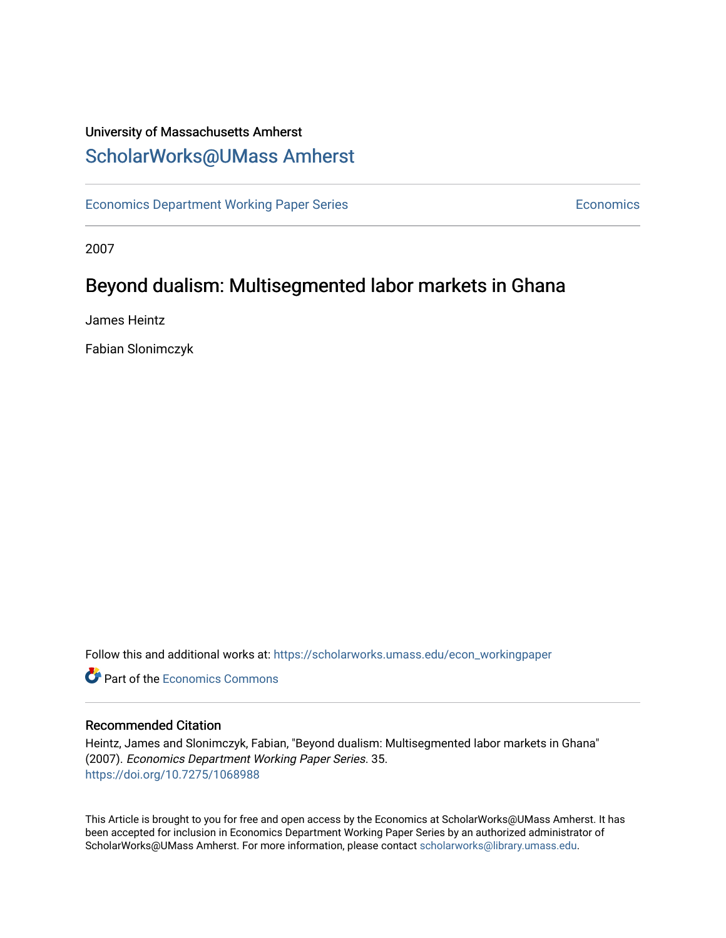### University of Massachusetts Amherst [ScholarWorks@UMass Amherst](https://scholarworks.umass.edu/)

[Economics Department Working Paper Series](https://scholarworks.umass.edu/econ_workingpaper) **Economics** Economics

2007

## Beyond dualism: Multisegmented labor markets in Ghana

James Heintz

Fabian Slonimczyk

Follow this and additional works at: [https://scholarworks.umass.edu/econ\\_workingpaper](https://scholarworks.umass.edu/econ_workingpaper?utm_source=scholarworks.umass.edu%2Fecon_workingpaper%2F35&utm_medium=PDF&utm_campaign=PDFCoverPages) 

**C** Part of the [Economics Commons](http://network.bepress.com/hgg/discipline/340?utm_source=scholarworks.umass.edu%2Fecon_workingpaper%2F35&utm_medium=PDF&utm_campaign=PDFCoverPages)

#### Recommended Citation

Heintz, James and Slonimczyk, Fabian, "Beyond dualism: Multisegmented labor markets in Ghana" (2007). Economics Department Working Paper Series. 35. <https://doi.org/10.7275/1068988>

This Article is brought to you for free and open access by the Economics at ScholarWorks@UMass Amherst. It has been accepted for inclusion in Economics Department Working Paper Series by an authorized administrator of ScholarWorks@UMass Amherst. For more information, please contact [scholarworks@library.umass.edu.](mailto:scholarworks@library.umass.edu)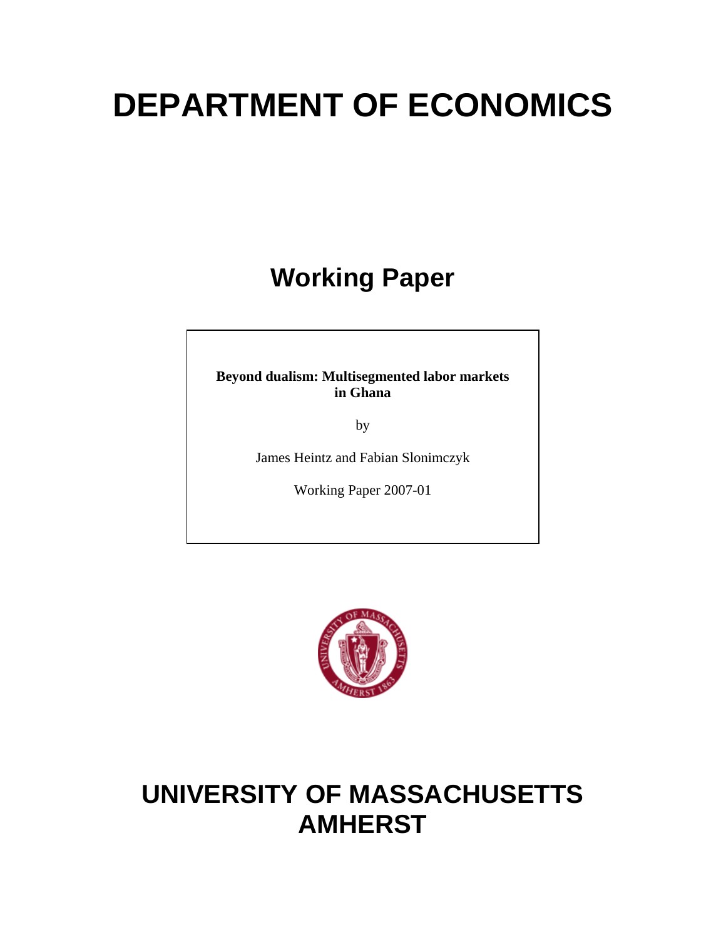# **DEPARTMENT OF ECONOMICS**

# **Working Paper**

**Beyond dualism: Multisegmented labor markets in Ghana** 

by

James Heintz and Fabian Slonimczyk

Working Paper 2007-01



# **UNIVERSITY OF MASSACHUSETTS AMHERST**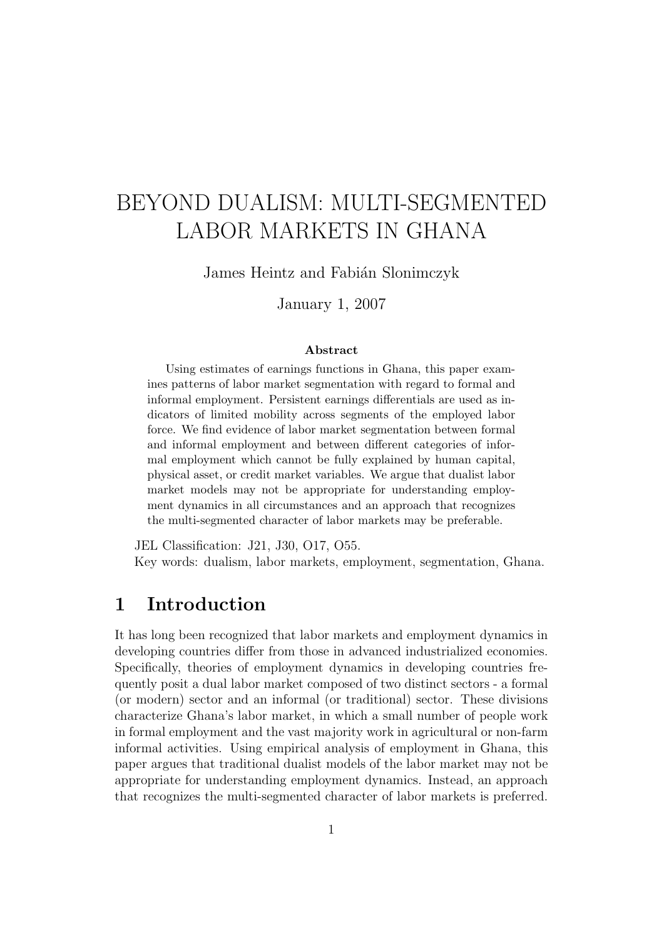# BEYOND DUALISM: MULTI-SEGMENTED LABOR MARKETS IN GHANA

James Heintz and Fabián Slonimczyk

January 1, 2007

#### Abstract

Using estimates of earnings functions in Ghana, this paper examines patterns of labor market segmentation with regard to formal and informal employment. Persistent earnings differentials are used as indicators of limited mobility across segments of the employed labor force. We find evidence of labor market segmentation between formal and informal employment and between different categories of informal employment which cannot be fully explained by human capital, physical asset, or credit market variables. We argue that dualist labor market models may not be appropriate for understanding employment dynamics in all circumstances and an approach that recognizes the multi-segmented character of labor markets may be preferable.

JEL Classification: J21, J30, O17, O55. Key words: dualism, labor markets, employment, segmentation, Ghana.

#### 1 Introduction

It has long been recognized that labor markets and employment dynamics in developing countries differ from those in advanced industrialized economies. Specifically, theories of employment dynamics in developing countries frequently posit a dual labor market composed of two distinct sectors - a formal (or modern) sector and an informal (or traditional) sector. These divisions characterize Ghana's labor market, in which a small number of people work in formal employment and the vast majority work in agricultural or non-farm informal activities. Using empirical analysis of employment in Ghana, this paper argues that traditional dualist models of the labor market may not be appropriate for understanding employment dynamics. Instead, an approach that recognizes the multi-segmented character of labor markets is preferred.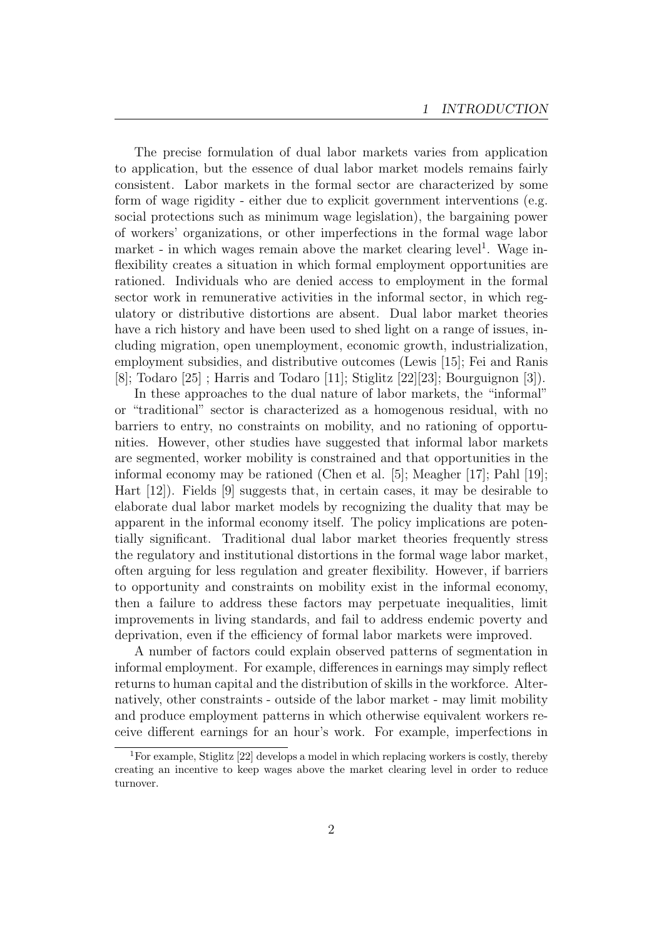The precise formulation of dual labor markets varies from application to application, but the essence of dual labor market models remains fairly consistent. Labor markets in the formal sector are characterized by some form of wage rigidity - either due to explicit government interventions (e.g. social protections such as minimum wage legislation), the bargaining power of workers' organizations, or other imperfections in the formal wage labor market - in which wages remain above the market clearing level<sup>1</sup>. Wage inflexibility creates a situation in which formal employment opportunities are rationed. Individuals who are denied access to employment in the formal sector work in remunerative activities in the informal sector, in which regulatory or distributive distortions are absent. Dual labor market theories have a rich history and have been used to shed light on a range of issues, including migration, open unemployment, economic growth, industrialization, employment subsidies, and distributive outcomes (Lewis [15]; Fei and Ranis [8]; Todaro [25] ; Harris and Todaro [11]; Stiglitz [22][23]; Bourguignon [3]).

In these approaches to the dual nature of labor markets, the "informal" or "traditional" sector is characterized as a homogenous residual, with no barriers to entry, no constraints on mobility, and no rationing of opportunities. However, other studies have suggested that informal labor markets are segmented, worker mobility is constrained and that opportunities in the informal economy may be rationed (Chen et al. [5]; Meagher [17]; Pahl [19]; Hart [12]). Fields [9] suggests that, in certain cases, it may be desirable to elaborate dual labor market models by recognizing the duality that may be apparent in the informal economy itself. The policy implications are potentially significant. Traditional dual labor market theories frequently stress the regulatory and institutional distortions in the formal wage labor market, often arguing for less regulation and greater flexibility. However, if barriers to opportunity and constraints on mobility exist in the informal economy, then a failure to address these factors may perpetuate inequalities, limit improvements in living standards, and fail to address endemic poverty and deprivation, even if the efficiency of formal labor markets were improved.

A number of factors could explain observed patterns of segmentation in informal employment. For example, differences in earnings may simply reflect returns to human capital and the distribution of skills in the workforce. Alternatively, other constraints - outside of the labor market - may limit mobility and produce employment patterns in which otherwise equivalent workers receive different earnings for an hour's work. For example, imperfections in

<sup>&</sup>lt;sup>1</sup>For example, Stiglitz [22] develops a model in which replacing workers is costly, thereby creating an incentive to keep wages above the market clearing level in order to reduce turnover.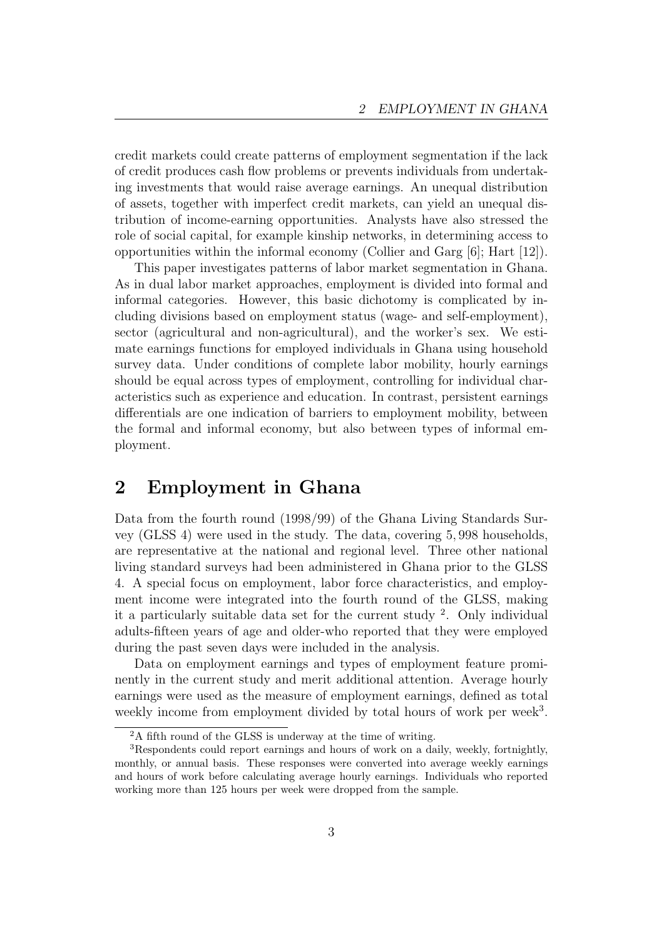credit markets could create patterns of employment segmentation if the lack of credit produces cash flow problems or prevents individuals from undertaking investments that would raise average earnings. An unequal distribution of assets, together with imperfect credit markets, can yield an unequal distribution of income-earning opportunities. Analysts have also stressed the role of social capital, for example kinship networks, in determining access to opportunities within the informal economy (Collier and Garg [6]; Hart [12]).

This paper investigates patterns of labor market segmentation in Ghana. As in dual labor market approaches, employment is divided into formal and informal categories. However, this basic dichotomy is complicated by including divisions based on employment status (wage- and self-employment), sector (agricultural and non-agricultural), and the worker's sex. We estimate earnings functions for employed individuals in Ghana using household survey data. Under conditions of complete labor mobility, hourly earnings should be equal across types of employment, controlling for individual characteristics such as experience and education. In contrast, persistent earnings differentials are one indication of barriers to employment mobility, between the formal and informal economy, but also between types of informal employment.

### 2 Employment in Ghana

Data from the fourth round (1998/99) of the Ghana Living Standards Survey (GLSS 4) were used in the study. The data, covering 5, 998 households, are representative at the national and regional level. Three other national living standard surveys had been administered in Ghana prior to the GLSS 4. A special focus on employment, labor force characteristics, and employment income were integrated into the fourth round of the GLSS, making it a particularly suitable data set for the current study <sup>2</sup> . Only individual adults-fifteen years of age and older-who reported that they were employed during the past seven days were included in the analysis.

Data on employment earnings and types of employment feature prominently in the current study and merit additional attention. Average hourly earnings were used as the measure of employment earnings, defined as total weekly income from employment divided by total hours of work per week<sup>3</sup>.

<sup>2</sup>A fifth round of the GLSS is underway at the time of writing.

<sup>3</sup>Respondents could report earnings and hours of work on a daily, weekly, fortnightly, monthly, or annual basis. These responses were converted into average weekly earnings and hours of work before calculating average hourly earnings. Individuals who reported working more than 125 hours per week were dropped from the sample.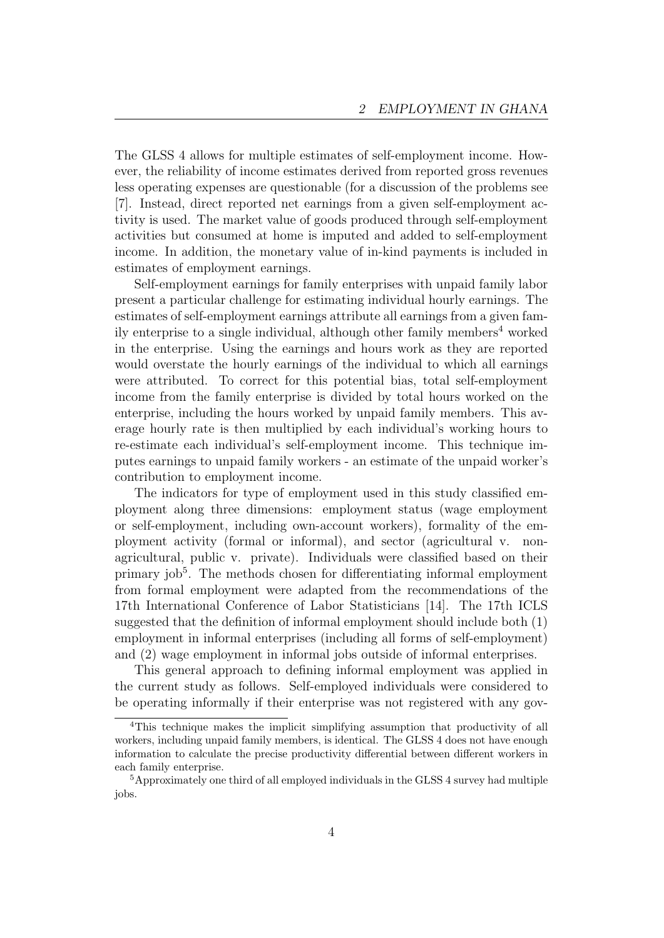The GLSS 4 allows for multiple estimates of self-employment income. However, the reliability of income estimates derived from reported gross revenues less operating expenses are questionable (for a discussion of the problems see [7]. Instead, direct reported net earnings from a given self-employment activity is used. The market value of goods produced through self-employment activities but consumed at home is imputed and added to self-employment income. In addition, the monetary value of in-kind payments is included in estimates of employment earnings.

Self-employment earnings for family enterprises with unpaid family labor present a particular challenge for estimating individual hourly earnings. The estimates of self-employment earnings attribute all earnings from a given family enterprise to a single individual, although other family members<sup>4</sup> worked in the enterprise. Using the earnings and hours work as they are reported would overstate the hourly earnings of the individual to which all earnings were attributed. To correct for this potential bias, total self-employment income from the family enterprise is divided by total hours worked on the enterprise, including the hours worked by unpaid family members. This average hourly rate is then multiplied by each individual's working hours to re-estimate each individual's self-employment income. This technique imputes earnings to unpaid family workers - an estimate of the unpaid worker's contribution to employment income.

The indicators for type of employment used in this study classified employment along three dimensions: employment status (wage employment or self-employment, including own-account workers), formality of the employment activity (formal or informal), and sector (agricultural v. nonagricultural, public v. private). Individuals were classified based on their primary job<sup>5</sup>. The methods chosen for differentiating informal employment from formal employment were adapted from the recommendations of the 17th International Conference of Labor Statisticians [14]. The 17th ICLS suggested that the definition of informal employment should include both (1) employment in informal enterprises (including all forms of self-employment) and (2) wage employment in informal jobs outside of informal enterprises.

This general approach to defining informal employment was applied in the current study as follows. Self-employed individuals were considered to be operating informally if their enterprise was not registered with any gov-

<sup>&</sup>lt;sup>4</sup>This technique makes the implicit simplifying assumption that productivity of all workers, including unpaid family members, is identical. The GLSS 4 does not have enough information to calculate the precise productivity differential between different workers in each family enterprise.

<sup>5</sup>Approximately one third of all employed individuals in the GLSS 4 survey had multiple jobs.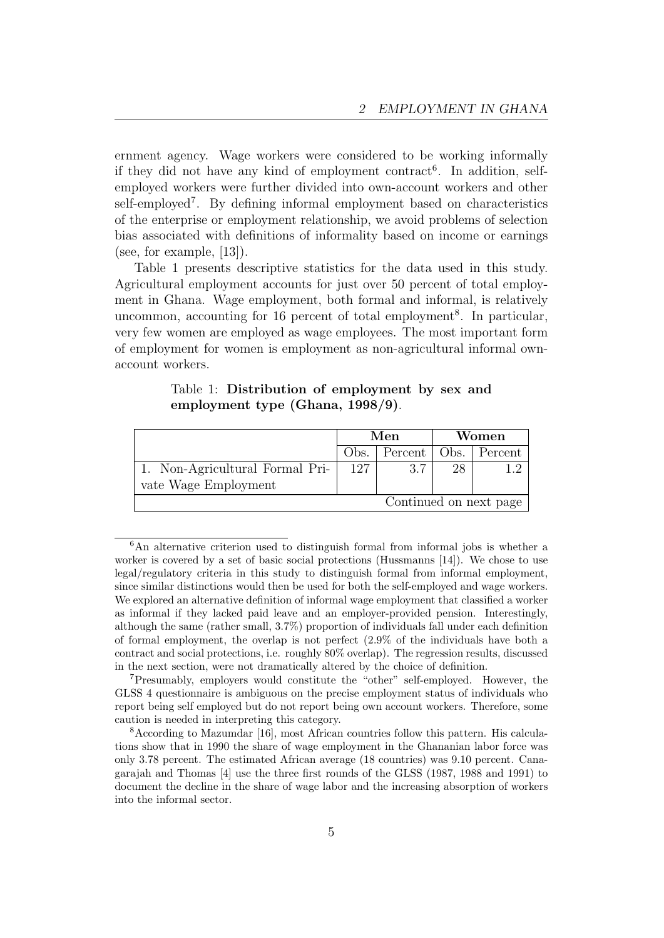ernment agency. Wage workers were considered to be working informally if they did not have any kind of employment contract<sup>6</sup>. In addition, selfemployed workers were further divided into own-account workers and other self-employed<sup>7</sup>. By defining informal employment based on characteristics of the enterprise or employment relationship, we avoid problems of selection bias associated with definitions of informality based on income or earnings (see, for example, [13]).

Table 1 presents descriptive statistics for the data used in this study. Agricultural employment accounts for just over 50 percent of total employment in Ghana. Wage employment, both formal and informal, is relatively uncommon, accounting for 16 percent of total employment<sup>8</sup>. In particular, very few women are employed as wage employees. The most important form of employment for women is employment as non-agricultural informal ownaccount workers.

| employment type (Ghana, 1998/9). |     |              |
|----------------------------------|-----|--------------|
|                                  | Men | <b>Women</b> |

Table 1: Distribution of employment by sex and

|                                 | Men |                                 | Women |  |  |
|---------------------------------|-----|---------------------------------|-------|--|--|
|                                 |     | Obs.   Percent   Obs.   Percent |       |  |  |
| 1. Non-Agricultural Formal Pri- | 127 | 3.7                             | 28    |  |  |
| vate Wage Employment            |     |                                 |       |  |  |
| Continued on next page          |     |                                 |       |  |  |

<sup>&</sup>lt;sup>6</sup>An alternative criterion used to distinguish formal from informal jobs is whether a worker is covered by a set of basic social protections (Hussmanns [14]). We chose to use legal/regulatory criteria in this study to distinguish formal from informal employment, since similar distinctions would then be used for both the self-employed and wage workers. We explored an alternative definition of informal wage employment that classified a worker as informal if they lacked paid leave and an employer-provided pension. Interestingly, although the same (rather small, 3.7%) proportion of individuals fall under each definition of formal employment, the overlap is not perfect (2.9% of the individuals have both a contract and social protections, i.e. roughly 80% overlap). The regression results, discussed in the next section, were not dramatically altered by the choice of definition.

<sup>7</sup>Presumably, employers would constitute the "other" self-employed. However, the GLSS 4 questionnaire is ambiguous on the precise employment status of individuals who report being self employed but do not report being own account workers. Therefore, some caution is needed in interpreting this category.

<sup>8</sup>According to Mazumdar [16], most African countries follow this pattern. His calculations show that in 1990 the share of wage employment in the Ghananian labor force was only 3.78 percent. The estimated African average (18 countries) was 9.10 percent. Canagarajah and Thomas [4] use the three first rounds of the GLSS (1987, 1988 and 1991) to document the decline in the share of wage labor and the increasing absorption of workers into the informal sector.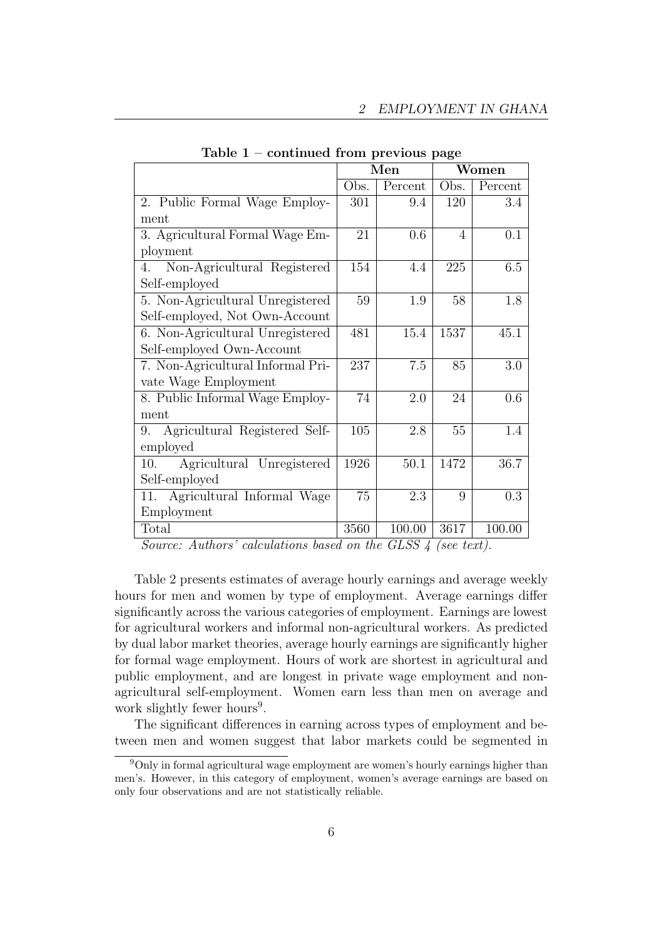|                                     | Men  |         |      | Women   |
|-------------------------------------|------|---------|------|---------|
|                                     | Obs. | Percent | Obs. | Percent |
| 2. Public Formal Wage Employ-       | 301  | 9.4     | 120  | 3.4     |
| ment                                |      |         |      |         |
| 3. Agricultural Formal Wage Em-     | 21   | 0.6     | 4    | 0.1     |
| ployment                            |      |         |      |         |
| Non-Agricultural Registered<br>4.   | 154  | 4.4     | 225  | 6.5     |
| Self-employed                       |      |         |      |         |
| 5. Non-Agricultural Unregistered    | 59   | 1.9     | 58   | 1.8     |
| Self-employed, Not Own-Account      |      |         |      |         |
| 6. Non-Agricultural Unregistered    | 481  | 15.4    | 1537 | 45.1    |
| Self-employed Own-Account           |      |         |      |         |
| 7. Non-Agricultural Informal Pri-   | 237  | 7.5     | 85   | 3.0     |
| vate Wage Employment                |      |         |      |         |
| 8. Public Informal Wage Employ-     | 74   | 2.0     | 24   | 0.6     |
| ment                                |      |         |      |         |
| Agricultural Registered Self-<br>9. | 105  | 2.8     | 55   | $1.4\,$ |
| employed                            |      |         |      |         |
| Agricultural Unregistered<br>10.    | 1926 | 50.1    | 1472 | 36.7    |
| Self-employed                       |      |         |      |         |
| Agricultural Informal Wage<br>11.   | 75   | 2.3     | 9    | 0.3     |
| Employment                          |      |         |      |         |
| Total                               | 3560 | 100.00  | 3617 | 100.00  |

Table  $1$  – continued from previous page

Source: Authors' calculations based on the GLSS 4 (see text).

Table 2 presents estimates of average hourly earnings and average weekly hours for men and women by type of employment. Average earnings differ significantly across the various categories of employment. Earnings are lowest for agricultural workers and informal non-agricultural workers. As predicted by dual labor market theories, average hourly earnings are significantly higher for formal wage employment. Hours of work are shortest in agricultural and public employment, and are longest in private wage employment and nonagricultural self-employment. Women earn less than men on average and work slightly fewer hours<sup>9</sup>.

The significant differences in earning across types of employment and between men and women suggest that labor markets could be segmented in

<sup>9</sup>Only in formal agricultural wage employment are women's hourly earnings higher than men's. However, in this category of employment, women's average earnings are based on only four observations and are not statistically reliable.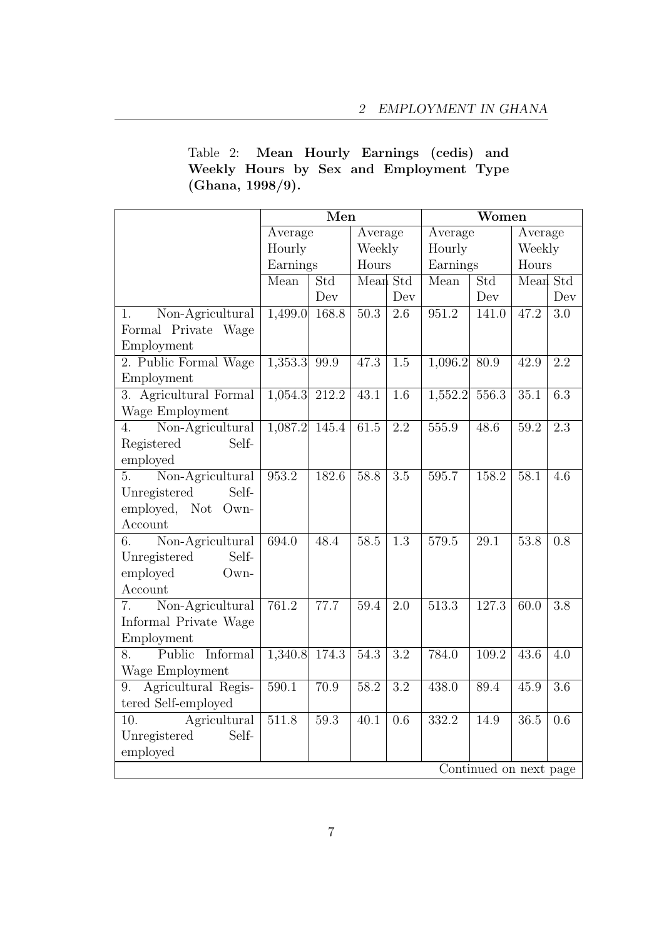| Table 2: Mean Hourly Earnings (cedis) and |  |  |  |  |
|-------------------------------------------|--|--|--|--|
| Weekly Hours by Sex and Employment Type   |  |  |  |  |
| (Ghana, $1998/9$ ).                       |  |  |  |  |

|                                 | Men                |       |          | $\overline{\text{W}}$ omen |                    |                        |          |                  |
|---------------------------------|--------------------|-------|----------|----------------------------|--------------------|------------------------|----------|------------------|
|                                 | Average            |       | Average  |                            | Average            |                        | Average  |                  |
|                                 | Hourly             |       | Weekly   |                            | Hourly             |                        | Weekly   |                  |
|                                 | Earnings           |       | Hours    |                            | Earnings           |                        | Hours    |                  |
|                                 | Mean               | Std   | Mean Std |                            | Mean<br>Std        |                        | Mean Std |                  |
|                                 |                    | Dev   |          | Dev                        |                    | Dev                    |          | Dev              |
| Non-Agricultural<br>1.          | 1,499.0            | 168.8 | 50.3     | 2.6                        | $\overline{951.2}$ | 141.0                  | 47.2     | $\overline{3.0}$ |
| Formal Private Wage             |                    |       |          |                            |                    |                        |          |                  |
| Employment                      |                    |       |          |                            |                    |                        |          |                  |
| 2. Public Formal Wage           | 1,353.3            | 99.9  | 47.3     | 1.5                        | 1,096.2            | 80.9                   | 42.9     | 2.2              |
| Employment                      |                    |       |          |                            |                    |                        |          |                  |
| 3. Agricultural Formal          | 1,054.3            | 212.2 | 43.1     | 1.6                        | 1,552.2            | 556.3                  | 35.1     | 6.3              |
| Wage Employment                 |                    |       |          |                            |                    |                        |          |                  |
| Non-Agricultural<br>4.          | 1,087.2            | 145.4 | 61.5     | 2.2                        | 555.9              | 48.6                   | 59.2     | $\overline{2.3}$ |
| Registered<br>Self-             |                    |       |          |                            |                    |                        |          |                  |
| employed                        |                    |       |          |                            |                    |                        |          |                  |
| Non-Agricultural<br>5.          | 953.2              | 182.6 | 58.8     | 3.5                        | 595.7              | 158.2                  | 58.1     | 4.6              |
| Unregistered<br>Self-           |                    |       |          |                            |                    |                        |          |                  |
| employed,<br>Not Own-           |                    |       |          |                            |                    |                        |          |                  |
| Account                         |                    |       |          |                            |                    |                        |          |                  |
| Non-Agricultural<br>6.          | 694.0              | 48.4  | 58.5     | $\overline{1.3}$           | 579.5              | $\overline{29.1}$      | 53.8     | 0.8              |
| Unregistered<br>Self-           |                    |       |          |                            |                    |                        |          |                  |
| employed<br>Own-                |                    |       |          |                            |                    |                        |          |                  |
| Account                         |                    |       |          |                            |                    |                        |          |                  |
| Non-Agricultural<br>7.          | 761.2              | 77.7  | 59.4     | $\overline{2.0}$           | $\overline{513.3}$ | 127.3                  | 60.0     | $\overline{3.8}$ |
| Informal Private Wage           |                    |       |          |                            |                    |                        |          |                  |
| Employment                      |                    |       |          |                            |                    |                        |          |                  |
| Public<br><b>Informal</b><br>8. | 1,340.8            | 174.3 | 54.3     | $\overline{3.2}$           | 784.0              | 109.2                  | 43.6     | 4.0              |
| Wage Employment                 |                    |       |          |                            |                    |                        |          |                  |
| Agricultural Regis-<br>9.       | $\overline{590.1}$ | 70.9  | 58.2     | 3.2                        | 438.0              | 89.4                   | 45.9     | $\overline{3.6}$ |
| tered Self-employed             |                    |       |          |                            |                    |                        |          |                  |
| Agricultural<br>10.             | 511.8              | 59.3  | 40.1     | 0.6                        | 332.2              | 14.9                   | 36.5     | 0.6              |
| Unregistered<br>Self-           |                    |       |          |                            |                    |                        |          |                  |
| employed                        |                    |       |          |                            |                    |                        |          |                  |
|                                 |                    |       |          |                            |                    | Continued on next page |          |                  |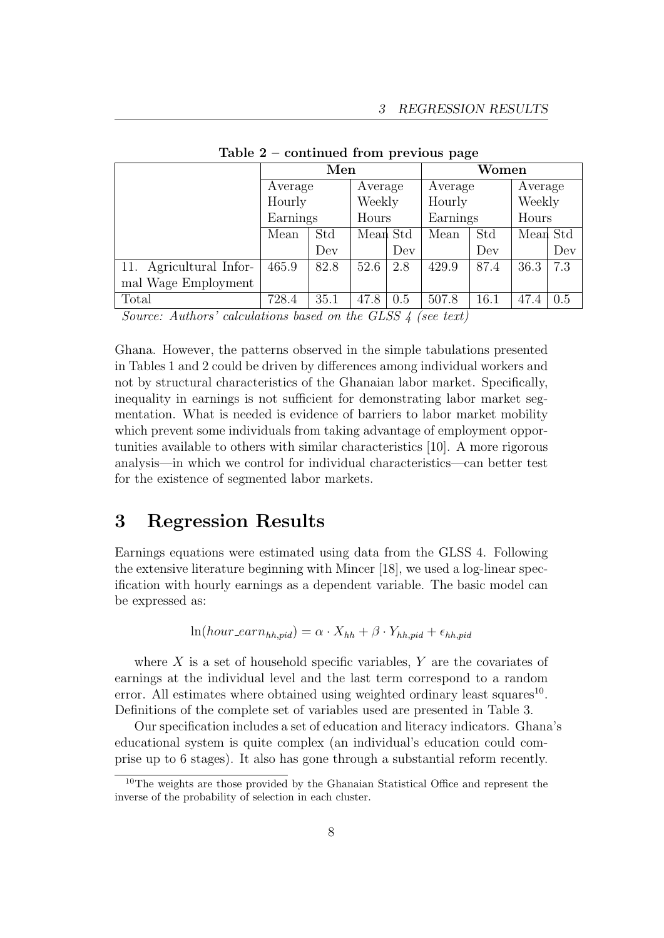|                     | Men      |         |          |         | Women    |         |          |         |  |
|---------------------|----------|---------|----------|---------|----------|---------|----------|---------|--|
|                     |          | Average |          | Average |          | Average |          | Average |  |
|                     | Hourly   |         | Weekly   |         | Hourly   |         | Weekly   |         |  |
|                     | Earnings |         | Hours    |         | Earnings |         | Hours    |         |  |
|                     | Mean     | Std     | Mean Std |         | Mean     | Std     | Mean Std |         |  |
|                     |          | Dev     |          | Dev     |          | Dev     |          | Dev     |  |
| Agricultural Infor- | 465.9    | 82.8    | 52.6     | 2.8     | 429.9    | 87.4    | 36.3     | 7.3     |  |
| mal Wage Employment |          |         |          |         |          |         |          |         |  |
| Total               | 728.4    | 35.1    | 47.8     | 0.5     | 507.8    | 16.1    | 47.4     | 0.5     |  |

Table 2 – continued from previous page

Source: Authors' calculations based on the GLSS 4 (see text)

Ghana. However, the patterns observed in the simple tabulations presented in Tables 1 and 2 could be driven by differences among individual workers and not by structural characteristics of the Ghanaian labor market. Specifically, inequality in earnings is not sufficient for demonstrating labor market segmentation. What is needed is evidence of barriers to labor market mobility which prevent some individuals from taking advantage of employment opportunities available to others with similar characteristics [10]. A more rigorous analysis—in which we control for individual characteristics—can better test for the existence of segmented labor markets.

#### 3 Regression Results

Earnings equations were estimated using data from the GLSS 4. Following the extensive literature beginning with Mincer [18], we used a log-linear specification with hourly earnings as a dependent variable. The basic model can be expressed as:

$$
\ln(hour\_earn_{hh,pid}) = \alpha \cdot X_{hh} + \beta \cdot Y_{hh,pid} + \epsilon_{hh,pid}
$$

where  $X$  is a set of household specific variables,  $Y$  are the covariates of earnings at the individual level and the last term correspond to a random error. All estimates where obtained using weighted ordinary least squares<sup>10</sup>. Definitions of the complete set of variables used are presented in Table 3.

Our specification includes a set of education and literacy indicators. Ghana's educational system is quite complex (an individual's education could comprise up to 6 stages). It also has gone through a substantial reform recently.

<sup>&</sup>lt;sup>10</sup>The weights are those provided by the Ghanaian Statistical Office and represent the inverse of the probability of selection in each cluster.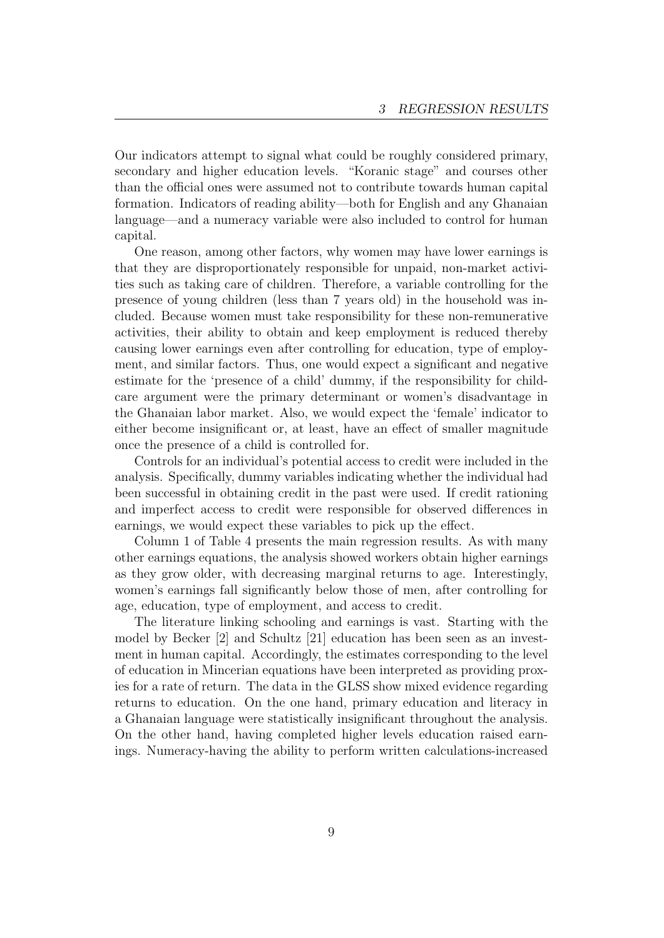Our indicators attempt to signal what could be roughly considered primary, secondary and higher education levels. "Koranic stage" and courses other than the official ones were assumed not to contribute towards human capital formation. Indicators of reading ability—both for English and any Ghanaian language—and a numeracy variable were also included to control for human capital.

One reason, among other factors, why women may have lower earnings is that they are disproportionately responsible for unpaid, non-market activities such as taking care of children. Therefore, a variable controlling for the presence of young children (less than 7 years old) in the household was included. Because women must take responsibility for these non-remunerative activities, their ability to obtain and keep employment is reduced thereby causing lower earnings even after controlling for education, type of employment, and similar factors. Thus, one would expect a significant and negative estimate for the 'presence of a child' dummy, if the responsibility for childcare argument were the primary determinant or women's disadvantage in the Ghanaian labor market. Also, we would expect the 'female' indicator to either become insignificant or, at least, have an effect of smaller magnitude once the presence of a child is controlled for.

Controls for an individual's potential access to credit were included in the analysis. Specifically, dummy variables indicating whether the individual had been successful in obtaining credit in the past were used. If credit rationing and imperfect access to credit were responsible for observed differences in earnings, we would expect these variables to pick up the effect.

Column 1 of Table 4 presents the main regression results. As with many other earnings equations, the analysis showed workers obtain higher earnings as they grow older, with decreasing marginal returns to age. Interestingly, women's earnings fall significantly below those of men, after controlling for age, education, type of employment, and access to credit.

The literature linking schooling and earnings is vast. Starting with the model by Becker [2] and Schultz [21] education has been seen as an investment in human capital. Accordingly, the estimates corresponding to the level of education in Mincerian equations have been interpreted as providing proxies for a rate of return. The data in the GLSS show mixed evidence regarding returns to education. On the one hand, primary education and literacy in a Ghanaian language were statistically insignificant throughout the analysis. On the other hand, having completed higher levels education raised earnings. Numeracy-having the ability to perform written calculations-increased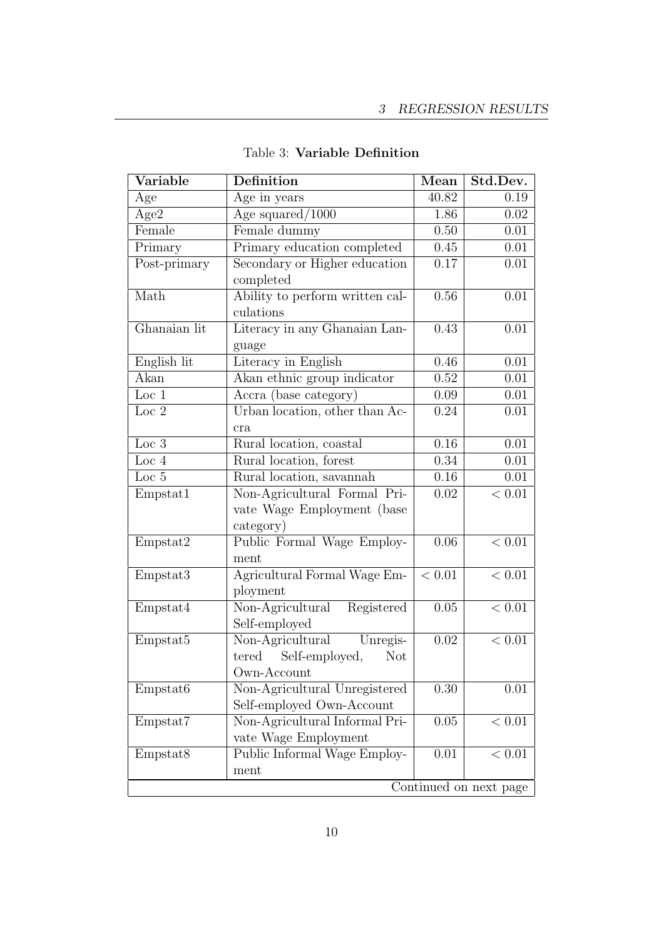| $\overline{\text{Variable}}$ | <b>Definition</b>                                                                 | Mean              | Std.Dev.          |  |  |
|------------------------------|-----------------------------------------------------------------------------------|-------------------|-------------------|--|--|
| Age                          | $\overline{Age}$ in years                                                         | 40.82             | 0.19              |  |  |
| Age2                         | Age squared/ $1000$                                                               | 1.86              | 0.02              |  |  |
| Female                       | Female dummy                                                                      | 0.50              | 0.01              |  |  |
| Primary                      | Primary education completed                                                       | 0.45              | 0.01              |  |  |
| Post-primary                 | Secondary or Higher education<br>completed                                        | 0.17              | $0.01\,$          |  |  |
| Math                         | Ability to perform written cal-<br>culations                                      | 0.56              | 0.01              |  |  |
| Ghanaian lit                 | Literacy in any Ghanaian Lan-<br>guage                                            | 0.43              | 0.01              |  |  |
| English lit                  | Literacy in English                                                               | 0.46              | 0.01              |  |  |
| Akan                         | Akan ethnic group indicator                                                       | 0.52              | 0.01              |  |  |
| Loc $1$                      | Accra (base category)                                                             | 0.09              | 0.01              |  |  |
| Loc 2                        | Urban location, other than Ac-<br>cra                                             | 0.24              | 0.01              |  |  |
| Loc 3                        | Rural location, coastal                                                           | 0.16              | 0.01              |  |  |
| Loc 4                        | Rural location, forest                                                            | 0.34              | 0.01              |  |  |
| Loc 5                        | Rural location, savannah                                                          | $\overline{0.16}$ | $\overline{0.01}$ |  |  |
| Empstat1                     | Non-Agricultural Formal Pri-<br>vate Wage Employment (base<br>category)           | 0.02              | < 0.01            |  |  |
| Empstat2                     | Public Formal Wage Employ-<br>ment                                                | 0.06              | < 0.01            |  |  |
| Empstat3                     | Agricultural Formal Wage Em-<br>ployment                                          | < 0.01            | $< 0.01\,$        |  |  |
| Empstat4                     | Non-Agricultural<br>Registered<br>Self-employed                                   | 0.05              | < 0.01            |  |  |
| Empstat5                     | Non-Agricultural<br>Unregis-<br>tered Self-employed,<br><b>Not</b><br>Own-Account | $0.02\,$          | < 0.01            |  |  |
| Empstat6                     | Non-Agricultural Unregistered<br>Self-employed Own-Account                        | 0.30              | 0.01              |  |  |
| Empstat7                     | Non-Agricultural Informal Pri-<br>vate Wage Employment                            | 0.05              | < 0.01            |  |  |
| Empstat <sub>8</sub>         | Public Informal Wage Employ-<br>ment                                              | 0.01              | < 0.01            |  |  |
|                              | Continued on next page                                                            |                   |                   |  |  |

Table 3: Variable Definition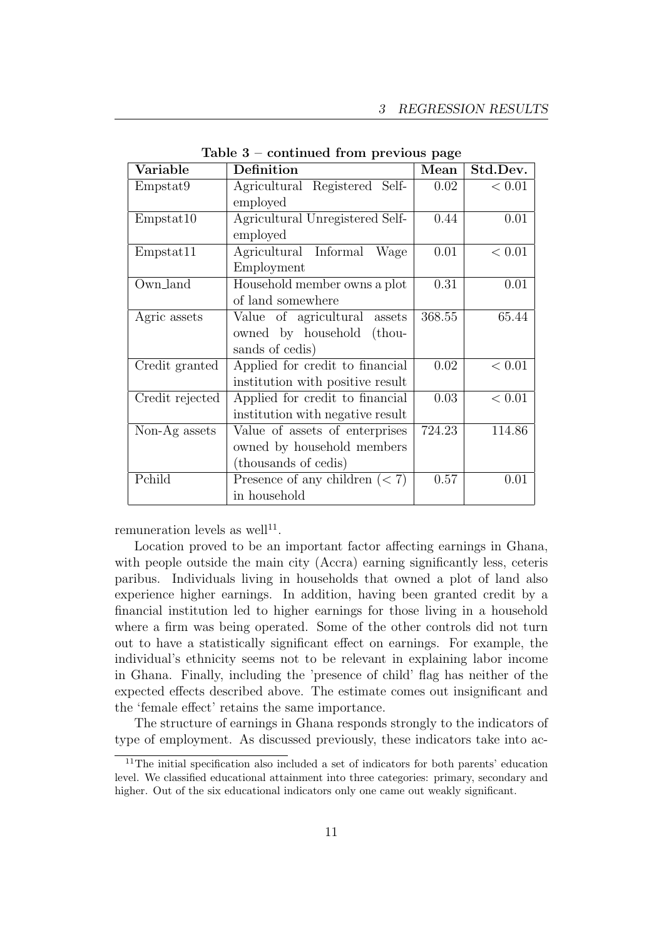| Variable        | Definition                       | Mean   | Std.Dev. |
|-----------------|----------------------------------|--------|----------|
| Empstat9        | Agricultural Registered Self-    | 0.02   | < 0.01   |
|                 | employed                         |        |          |
| Empstat10       | Agricultural Unregistered Self-  | 0.44   | 0.01     |
|                 | employed                         |        |          |
| Empstat11       | Agricultural Informal<br>Wage    | 0.01   | < 0.01   |
|                 | Employment                       |        |          |
| Own_land        | Household member owns a plot     | 0.31   | 0.01     |
|                 | of land somewhere                |        |          |
| Agric assets    | Value of agricultural assets     | 368.55 | 65.44    |
|                 | owned by household (thou-        |        |          |
|                 | sands of cedis)                  |        |          |
| Credit granted  | Applied for credit to financial  | 0.02   | < 0.01   |
|                 | institution with positive result |        |          |
| Credit rejected | Applied for credit to financial  | 0.03   | $< 0.01$ |
|                 | institution with negative result |        |          |
| Non-Ag assets   | Value of assets of enterprises   | 724.23 | 114.86   |
|                 | owned by household members       |        |          |
|                 | (thousands of cedis)             |        |          |
| Pchild          | Presence of any children $(< 7)$ | 0.57   | 0.01     |
|                 | in household                     |        |          |

Table 3 – continued from previous page

remuneration levels as well<sup>11</sup>.

Location proved to be an important factor affecting earnings in Ghana, with people outside the main city (Accra) earning significantly less, ceteris paribus. Individuals living in households that owned a plot of land also experience higher earnings. In addition, having been granted credit by a financial institution led to higher earnings for those living in a household where a firm was being operated. Some of the other controls did not turn out to have a statistically significant effect on earnings. For example, the individual's ethnicity seems not to be relevant in explaining labor income in Ghana. Finally, including the 'presence of child' flag has neither of the expected effects described above. The estimate comes out insignificant and the 'female effect' retains the same importance.

The structure of earnings in Ghana responds strongly to the indicators of type of employment. As discussed previously, these indicators take into ac-

<sup>11</sup>The initial specification also included a set of indicators for both parents' education level. We classified educational attainment into three categories: primary, secondary and higher. Out of the six educational indicators only one came out weakly significant.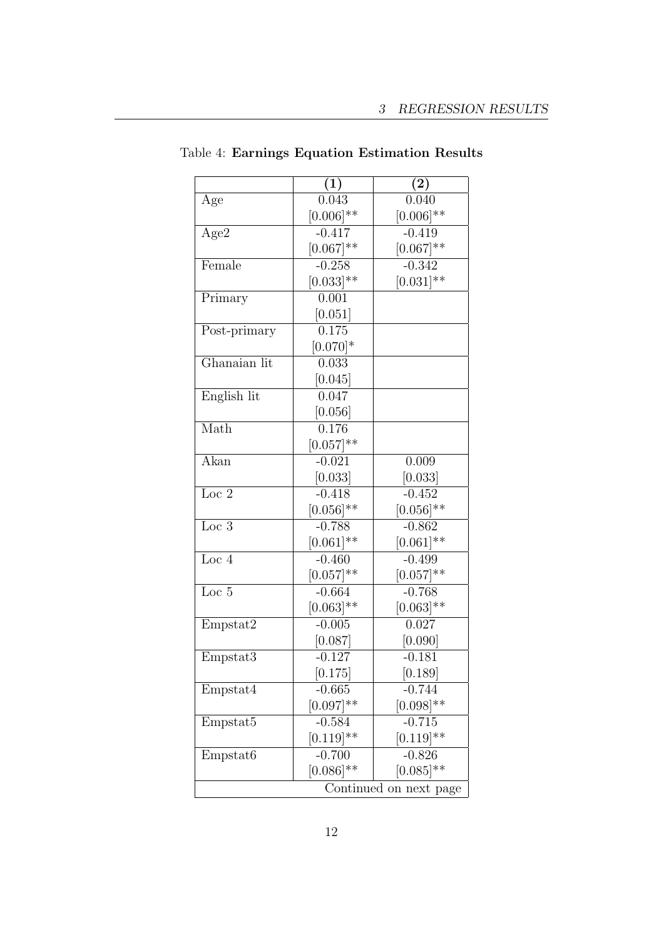|                        | (1)                | $\left( 2\right)$  |  |  |
|------------------------|--------------------|--------------------|--|--|
| Age                    | 0.043              | 0.040              |  |  |
|                        | $[0.006]$ **       | $[0.006]$ **       |  |  |
| Age2                   | $-0.417$           | $\frac{1}{-0.419}$ |  |  |
|                        | $[0.067]^{**}$     | $[0.067]^{**}$     |  |  |
| Female                 | $-0.258$           | $-0.342$           |  |  |
|                        | $[0.033]^{**}$     | $[0.031]$ **       |  |  |
| Primary                | 0.001              |                    |  |  |
|                        | [0.051]            |                    |  |  |
| Post-primary           | 0.175              |                    |  |  |
|                        | $[0.070]*$         |                    |  |  |
| Ghanaian lit           | 0.033              |                    |  |  |
|                        | [0.045]            |                    |  |  |
| English lit            | 0.047              |                    |  |  |
|                        | [0.056]            |                    |  |  |
| Math                   | $\overline{0.176}$ |                    |  |  |
|                        | $[0.057]$ **       |                    |  |  |
| Akan                   | $-0.021$           | 0.009              |  |  |
|                        | [0.033]            | [0.033]            |  |  |
| Loc $2$                | $-0.418$           | $-0.452$           |  |  |
|                        | $[0.056]$ **       | $[0.056]$ **       |  |  |
| $Loc\ 3$               | $-0.788$           | $-0.862$           |  |  |
|                        | $[0.061]$ **       | $[0.061]$ **       |  |  |
| Loc $4$                | $-0.460$           | $-0.499$           |  |  |
|                        | $[0.057]^{**}$     | $[0.057]$ **       |  |  |
| Loc 5                  | $-0.664$           | $-0.768$           |  |  |
|                        | $[0.063]$ **       | $[0.063]$ **       |  |  |
| Empstat2               | $-0.005$           | 0.027              |  |  |
|                        | [0.087]            | [0.090]            |  |  |
| Empstat3               | $-0.127$           | $-0.181$           |  |  |
|                        | $[0.175]$          | [0.189]            |  |  |
| Empstat4               | $-0.665$           | $-0.744$           |  |  |
|                        | $[0.097]$ **       | $[0.098]^{**}$     |  |  |
| Empstat <sub>5</sub>   | $-0.584$           | $-0.715$           |  |  |
|                        | $[0.119]^{**}$     | $[0.119]^{**}$     |  |  |
| Empstat <sub>6</sub>   | $-0.700$           | $-0.826$           |  |  |
|                        | $[0.086]$ **       | $[0.085]^{**}$     |  |  |
| Continued on next page |                    |                    |  |  |

|  |  | Table 4: Earnings Equation Estimation Results |  |
|--|--|-----------------------------------------------|--|
|  |  |                                               |  |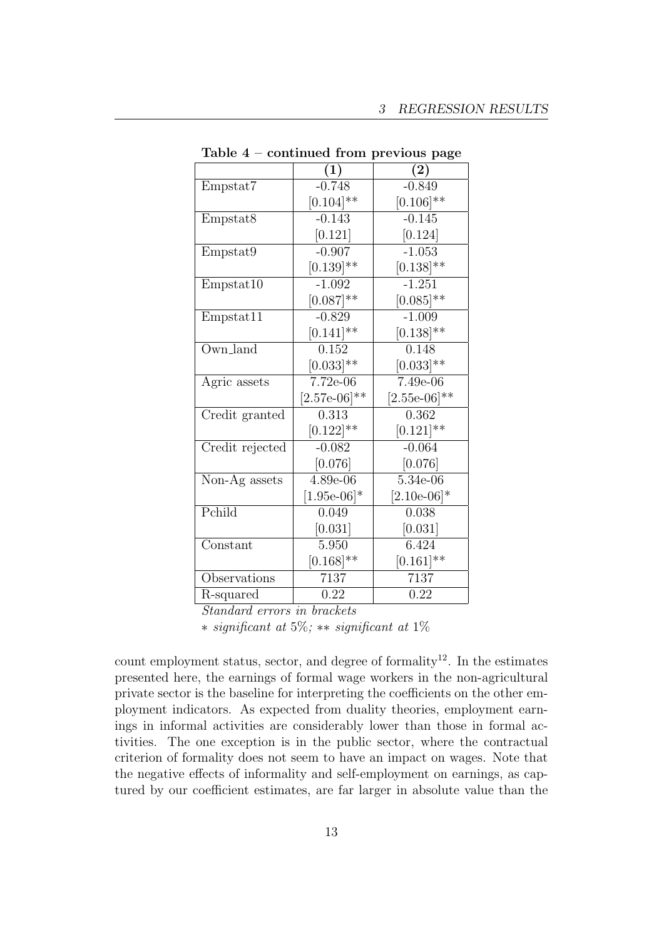|                      | $\left( 1\right)$ | $\left( 2\right)$ |
|----------------------|-------------------|-------------------|
| Empstat7             | $-0.748$          | $-0.849$          |
|                      | $[0.104]$ **      | $[0.106]$ **      |
| Empstat <sub>8</sub> | $-0.143$          | $-0.145$          |
|                      | [0.121]           | [0.124]           |
| Empstat9             | $-0.907$          | $-1.053$          |
|                      | $[0.139]$ **      | $[0.138]^{**}$    |
| Empstat10            | $-1.092$          | $-1.251$          |
|                      | $[0.087]$ **      | $[0.085]$ **      |
| Empstat11            | $-0.829$          | $-1.009$          |
|                      | $[0.141]$ **      | $[0.138]^{**}$    |
| Own_land             | 0.152             | 0.148             |
|                      | $[0.033]$ **      | $[0.033]$ **      |
| Agric assets         | 7.72e-06          | 7.49e-06          |
|                      | $[2.57e-06]^{**}$ | $[2.55e-06]$ **   |
| Credit granted       | 0.313             | 0.362             |
|                      | $[0.122]$ **      | $[0.121]$ **      |
| Credit rejected      | $-0.082$          | $-0.064$          |
|                      | [0.076]           | [0.076]           |
| Non-Ag assets        | 4.89e-06          | 5.34e-06          |
|                      | $[1.95e-06]*$     | $[2.10e-06]*$     |
| Pchild               | 0.049             | 0.038             |
|                      | [0.031]           | [0.031]           |
| Constant             | 5.950             | 6.424             |
|                      | $[0.168]^{**}$    | $[0.161]$ **      |
| Observations         | 7137              | 7137              |
| R-squared            | 0.22              | 0.22              |

Table 4 – continued from previous page

Standard errors in brackets

∗ significant at 5%; ∗∗ significant at 1%

count employment status, sector, and degree of formality<sup>12</sup>. In the estimates presented here, the earnings of formal wage workers in the non-agricultural private sector is the baseline for interpreting the coefficients on the other employment indicators. As expected from duality theories, employment earnings in informal activities are considerably lower than those in formal activities. The one exception is in the public sector, where the contractual criterion of formality does not seem to have an impact on wages. Note that the negative effects of informality and self-employment on earnings, as captured by our coefficient estimates, are far larger in absolute value than the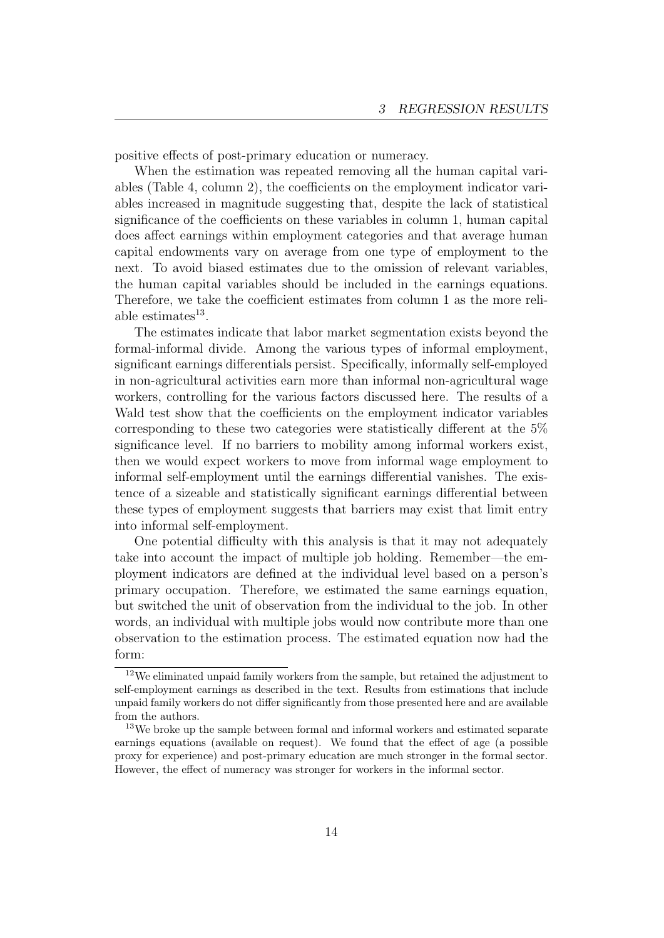positive effects of post-primary education or numeracy.

When the estimation was repeated removing all the human capital variables (Table 4, column 2), the coefficients on the employment indicator variables increased in magnitude suggesting that, despite the lack of statistical significance of the coefficients on these variables in column 1, human capital does affect earnings within employment categories and that average human capital endowments vary on average from one type of employment to the next. To avoid biased estimates due to the omission of relevant variables, the human capital variables should be included in the earnings equations. Therefore, we take the coefficient estimates from column 1 as the more reliable estimates $^{13}$ .

The estimates indicate that labor market segmentation exists beyond the formal-informal divide. Among the various types of informal employment, significant earnings differentials persist. Specifically, informally self-employed in non-agricultural activities earn more than informal non-agricultural wage workers, controlling for the various factors discussed here. The results of a Wald test show that the coefficients on the employment indicator variables corresponding to these two categories were statistically different at the 5% significance level. If no barriers to mobility among informal workers exist, then we would expect workers to move from informal wage employment to informal self-employment until the earnings differential vanishes. The existence of a sizeable and statistically significant earnings differential between these types of employment suggests that barriers may exist that limit entry into informal self-employment.

One potential difficulty with this analysis is that it may not adequately take into account the impact of multiple job holding. Remember—the employment indicators are defined at the individual level based on a person's primary occupation. Therefore, we estimated the same earnings equation, but switched the unit of observation from the individual to the job. In other words, an individual with multiple jobs would now contribute more than one observation to the estimation process. The estimated equation now had the form:

 $12$ We eliminated unpaid family workers from the sample, but retained the adjustment to self-employment earnings as described in the text. Results from estimations that include unpaid family workers do not differ significantly from those presented here and are available from the authors.

<sup>13</sup>We broke up the sample between formal and informal workers and estimated separate earnings equations (available on request). We found that the effect of age (a possible proxy for experience) and post-primary education are much stronger in the formal sector. However, the effect of numeracy was stronger for workers in the informal sector.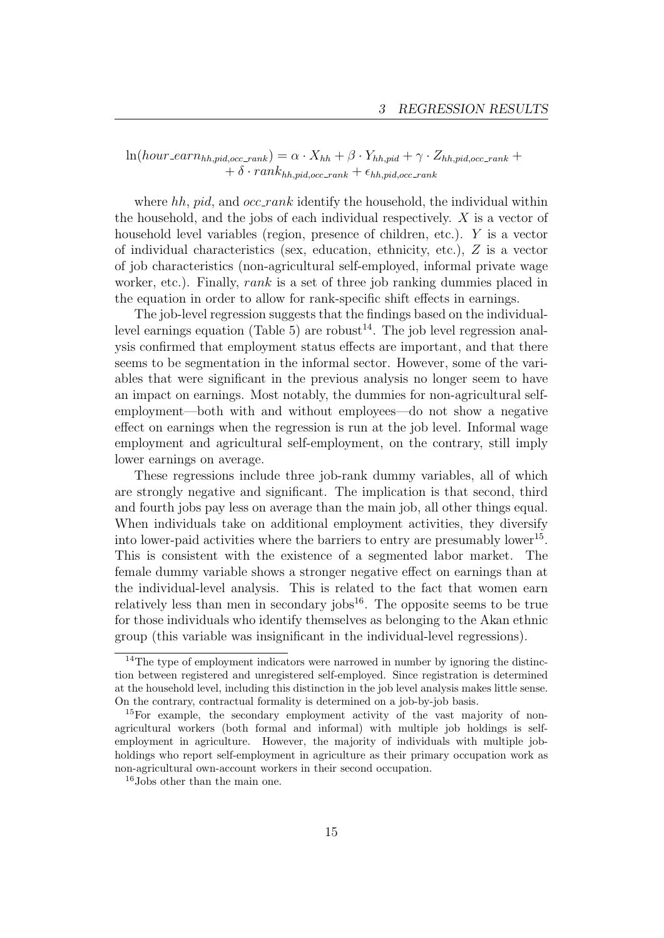#### $ln(hour\_earn_{hh,pid,occ\_rank}) = \alpha \cdot X_{hh} + \beta \cdot Y_{hh,pid} + \gamma \cdot Z_{hh,pid,occ\_rank} +$  $+ \delta \cdot rank_{hh,pid,occ\_rank} + \epsilon_{hh,pid,occ\_rank}$

where  $hh$ ,  $pid$ , and  $occ\_rank$  identify the household, the individual within the household, and the jobs of each individual respectively. X is a vector of household level variables (region, presence of children, etc.). Y is a vector of individual characteristics (sex, education, ethnicity, etc.), Z is a vector of job characteristics (non-agricultural self-employed, informal private wage worker, etc.). Finally, rank is a set of three job ranking dummies placed in the equation in order to allow for rank-specific shift effects in earnings.

The job-level regression suggests that the findings based on the individuallevel earnings equation (Table 5) are robust<sup>14</sup>. The job level regression analysis confirmed that employment status effects are important, and that there seems to be segmentation in the informal sector. However, some of the variables that were significant in the previous analysis no longer seem to have an impact on earnings. Most notably, the dummies for non-agricultural selfemployment—both with and without employees—do not show a negative effect on earnings when the regression is run at the job level. Informal wage employment and agricultural self-employment, on the contrary, still imply lower earnings on average.

These regressions include three job-rank dummy variables, all of which are strongly negative and significant. The implication is that second, third and fourth jobs pay less on average than the main job, all other things equal. When individuals take on additional employment activities, they diversify into lower-paid activities where the barriers to entry are presumably lower<sup>15</sup>. This is consistent with the existence of a segmented labor market. The female dummy variable shows a stronger negative effect on earnings than at the individual-level analysis. This is related to the fact that women earn relatively less than men in secondary jobs $16$ . The opposite seems to be true for those individuals who identify themselves as belonging to the Akan ethnic group (this variable was insignificant in the individual-level regressions).

<sup>&</sup>lt;sup>14</sup>The type of employment indicators were narrowed in number by ignoring the distinction between registered and unregistered self-employed. Since registration is determined at the household level, including this distinction in the job level analysis makes little sense. On the contrary, contractual formality is determined on a job-by-job basis.

<sup>15</sup>For example, the secondary employment activity of the vast majority of nonagricultural workers (both formal and informal) with multiple job holdings is selfemployment in agriculture. However, the majority of individuals with multiple jobholdings who report self-employment in agriculture as their primary occupation work as non-agricultural own-account workers in their second occupation.

<sup>16</sup>Jobs other than the main one.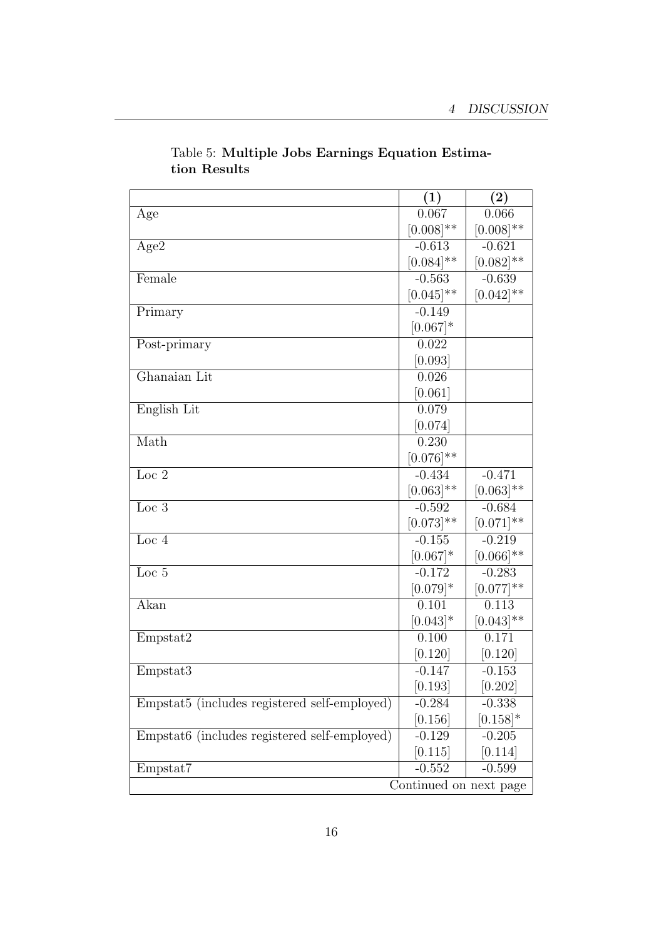|                                              | (1)                    | (2)            |
|----------------------------------------------|------------------------|----------------|
| Age                                          | 0.067                  | 0.066          |
|                                              | $[0.008]$ **           | $[0.008]^{**}$ |
| Age2                                         | $-0.613$               | $-0.621$       |
|                                              | $[0.084]$ **           | $[0.082]$ **   |
| Female                                       | $-0.563$               | $-0.639$       |
|                                              | $[0.045]$ **           | $[0.042]$ **   |
| Primary                                      | $-0.149$               |                |
|                                              | $[0.067]*$             |                |
| Post-primary                                 | 0.022                  |                |
|                                              | [0.093]                |                |
| Ghanaian Lit                                 | 0.026                  |                |
|                                              | [0.061]                |                |
| English Lit                                  | 0.079                  |                |
|                                              | [0.074]                |                |
| Math                                         | 0.230                  |                |
|                                              | $[0.076]^{**}$         |                |
| Loc $2$                                      | $-0.434$               | $-0.471$       |
|                                              | $[0.063]$ **           | $[0.063]$ **   |
| Loc $3$                                      | $-0.592$               | $-0.684$       |
|                                              | $[0.073]$ **           | $[0.071]$ **   |
| Loc $4$                                      | $-0.155$               | $-0.219$       |
|                                              | $[0.067]*$             | $[0.066]$ **   |
| $\overline{\text{Loc }5}$                    | $-0.172$               | $-0.283$       |
|                                              | $[0.079]*$             | $[0.077]$ **   |
| Akan                                         | 0.101                  | 0.113          |
|                                              | $[0.043]*$             | $[0.043]$ **   |
| Empstat2                                     | 0.100                  | 0.171          |
|                                              | [0.120]                | [0.120]        |
| Empstat3                                     | $-0.147$               | $-0.153$       |
|                                              | [0.193]                | [0.202]        |
| Empstat5 (includes registered self-employed) | $-0.284$               | $-0.338$       |
|                                              | [0.156]                | $[0.158]^{*}$  |
| Empstat6 (includes registered self-employed) | $-0.129$               | $-0.205$       |
|                                              | [0.115]                | [0.114]        |
| Empstat7                                     | $-0.552$               | $-0.599$       |
|                                              | Continued on next page |                |

#### Table 5: Multiple Jobs Earnings Equation Estimation Results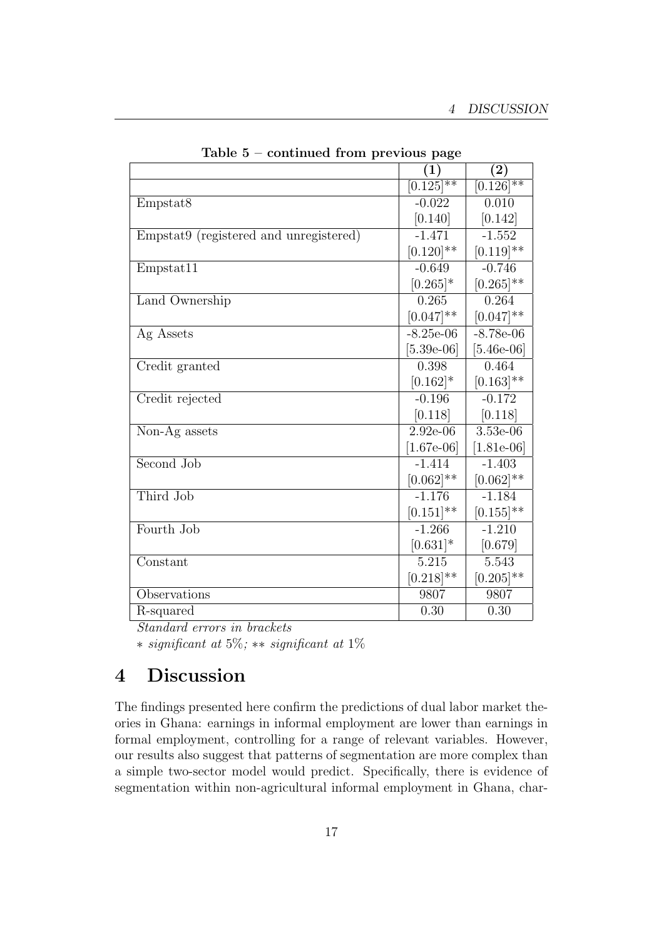|                                        | $\left( 1\right)$ | $\left( 2\right)$ |
|----------------------------------------|-------------------|-------------------|
|                                        | $[0.125]^{**}$    | $[0.126]^{**}$    |
| Empstat <sub>8</sub>                   | $-0.022$          | 0.010             |
|                                        | [0.140]           | [0.142]           |
| Empstat9 (registered and unregistered) | $-1.471$          | $-1.552$          |
|                                        | $[0.120]$ **      | $[0.119]$ **      |
| Empstat11                              | $-0.649$          | $-0.746$          |
|                                        | $[0.265]$ *       | $[0.265]^{**}$    |
| Land Ownership                         | 0.265             | 0.264             |
|                                        | $[0.047]$ **      | $[0.047]$ **      |
| Ag Assets                              | $-8.25e-06$       | $-8.78e-06$       |
|                                        | $[5.39e-06]$      | $[5.46e-06]$      |
| Credit granted                         | 0.398             | 0.464             |
|                                        | $[0.162]$ *       | $[0.163]$ **      |
| Credit rejected                        | $-0.196$          | $-0.172$          |
|                                        | [0.118]           | [0.118]           |
| Non-Ag assets                          | $2.92e-06$        | 3.53e-06          |
|                                        | $[1.67e-06]$      | $[1.81e-06]$      |
| Second Job                             | $-1.414$          | $-1.403$          |
|                                        | $[0.062]$ **      | $[0.062]$ **      |
| Third Job                              | $-1.176$          | $-1.184$          |
|                                        | $[0.151]^{**}$    | $[0.155]^{**}$    |
| Fourth Job                             | $-1.266$          | $-1.210$          |
|                                        | $[0.631]$ *       | [0.679]           |
| Constant                               | 5.215             | 5.543             |
|                                        | $[0.218]$ **      | $[0.205]$ **      |
| Observations                           | 9807              | 9807              |
| R-squared                              | 0.30              | 0.30              |

Table 5 – continued from previous page

Standard errors in brackets

∗ significant at 5%; ∗∗ significant at 1%

### 4 Discussion

The findings presented here confirm the predictions of dual labor market theories in Ghana: earnings in informal employment are lower than earnings in formal employment, controlling for a range of relevant variables. However, our results also suggest that patterns of segmentation are more complex than a simple two-sector model would predict. Specifically, there is evidence of segmentation within non-agricultural informal employment in Ghana, char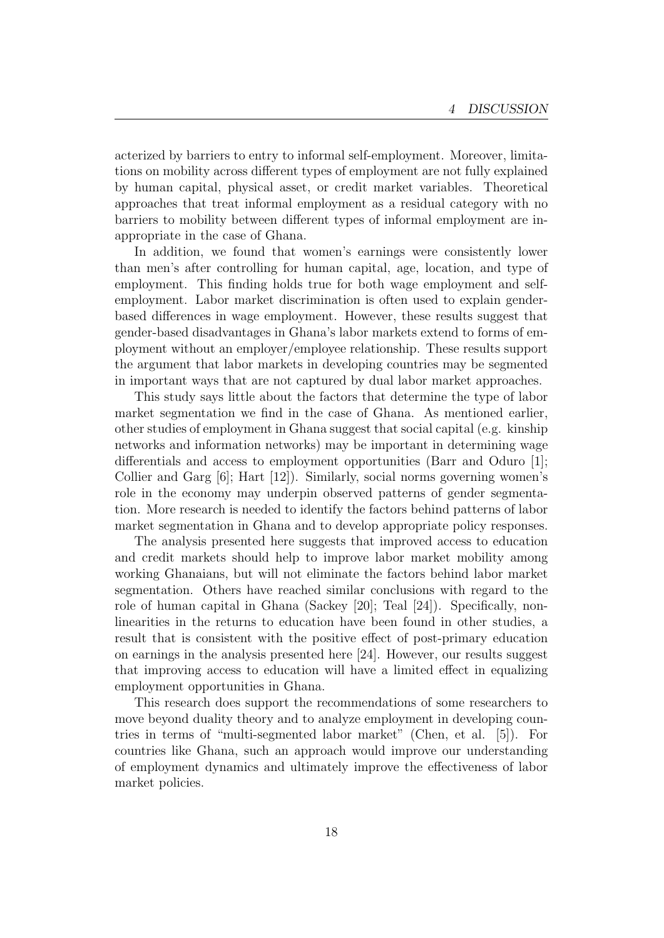acterized by barriers to entry to informal self-employment. Moreover, limitations on mobility across different types of employment are not fully explained by human capital, physical asset, or credit market variables. Theoretical approaches that treat informal employment as a residual category with no barriers to mobility between different types of informal employment are inappropriate in the case of Ghana.

In addition, we found that women's earnings were consistently lower than men's after controlling for human capital, age, location, and type of employment. This finding holds true for both wage employment and selfemployment. Labor market discrimination is often used to explain genderbased differences in wage employment. However, these results suggest that gender-based disadvantages in Ghana's labor markets extend to forms of employment without an employer/employee relationship. These results support the argument that labor markets in developing countries may be segmented in important ways that are not captured by dual labor market approaches.

This study says little about the factors that determine the type of labor market segmentation we find in the case of Ghana. As mentioned earlier, other studies of employment in Ghana suggest that social capital (e.g. kinship networks and information networks) may be important in determining wage differentials and access to employment opportunities (Barr and Oduro [1]; Collier and Garg [6]; Hart [12]). Similarly, social norms governing women's role in the economy may underpin observed patterns of gender segmentation. More research is needed to identify the factors behind patterns of labor market segmentation in Ghana and to develop appropriate policy responses.

The analysis presented here suggests that improved access to education and credit markets should help to improve labor market mobility among working Ghanaians, but will not eliminate the factors behind labor market segmentation. Others have reached similar conclusions with regard to the role of human capital in Ghana (Sackey [20]; Teal [24]). Specifically, nonlinearities in the returns to education have been found in other studies, a result that is consistent with the positive effect of post-primary education on earnings in the analysis presented here [24]. However, our results suggest that improving access to education will have a limited effect in equalizing employment opportunities in Ghana.

This research does support the recommendations of some researchers to move beyond duality theory and to analyze employment in developing countries in terms of "multi-segmented labor market" (Chen, et al. [5]). For countries like Ghana, such an approach would improve our understanding of employment dynamics and ultimately improve the effectiveness of labor market policies.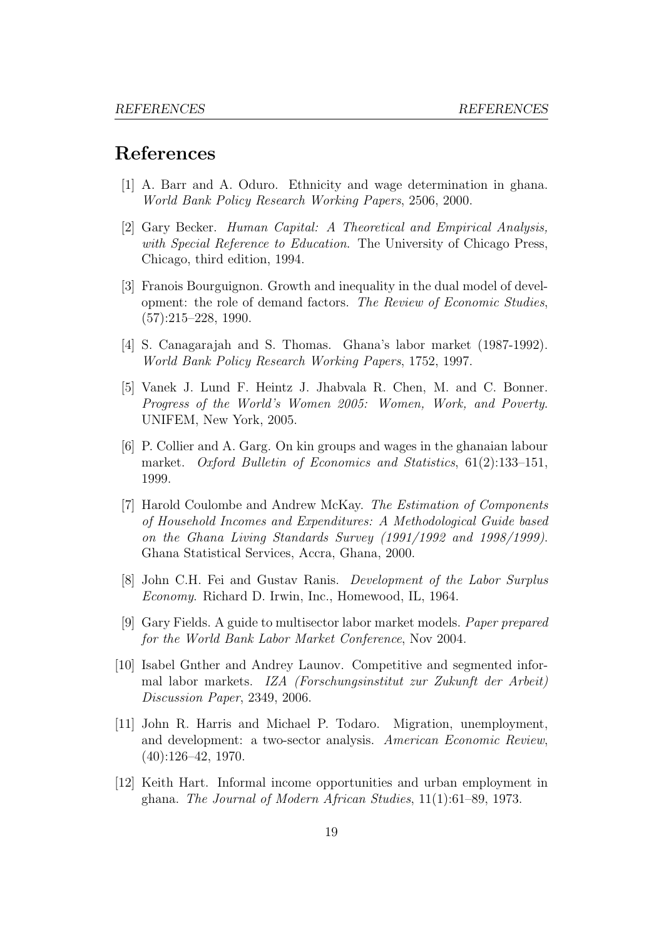#### References

- [1] A. Barr and A. Oduro. Ethnicity and wage determination in ghana. World Bank Policy Research Working Papers, 2506, 2000.
- [2] Gary Becker. Human Capital: A Theoretical and Empirical Analysis, with Special Reference to Education. The University of Chicago Press, Chicago, third edition, 1994.
- [3] Franois Bourguignon. Growth and inequality in the dual model of development: the role of demand factors. The Review of Economic Studies,  $(57):215-228, 1990.$
- [4] S. Canagarajah and S. Thomas. Ghana's labor market (1987-1992). World Bank Policy Research Working Papers, 1752, 1997.
- [5] Vanek J. Lund F. Heintz J. Jhabvala R. Chen, M. and C. Bonner. Progress of the World's Women 2005: Women, Work, and Poverty. UNIFEM, New York, 2005.
- [6] P. Collier and A. Garg. On kin groups and wages in the ghanaian labour market. Oxford Bulletin of Economics and Statistics, 61(2):133–151, 1999.
- [7] Harold Coulombe and Andrew McKay. The Estimation of Components of Household Incomes and Expenditures: A Methodological Guide based on the Ghana Living Standards Survey (1991/1992 and 1998/1999). Ghana Statistical Services, Accra, Ghana, 2000.
- [8] John C.H. Fei and Gustav Ranis. Development of the Labor Surplus Economy. Richard D. Irwin, Inc., Homewood, IL, 1964.
- [9] Gary Fields. A guide to multisector labor market models. Paper prepared for the World Bank Labor Market Conference, Nov 2004.
- [10] Isabel Gnther and Andrey Launov. Competitive and segmented informal labor markets. IZA (Forschungsinstitut zur Zukunft der Arbeit) Discussion Paper, 2349, 2006.
- [11] John R. Harris and Michael P. Todaro. Migration, unemployment, and development: a two-sector analysis. American Economic Review, (40):126–42, 1970.
- [12] Keith Hart. Informal income opportunities and urban employment in ghana. The Journal of Modern African Studies, 11(1):61–89, 1973.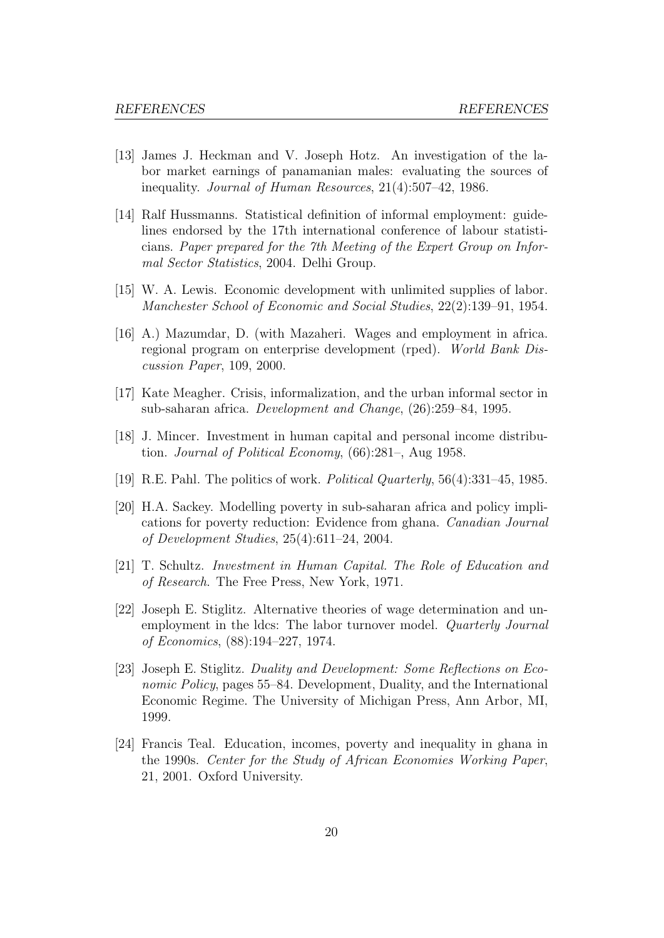- [13] James J. Heckman and V. Joseph Hotz. An investigation of the labor market earnings of panamanian males: evaluating the sources of inequality. Journal of Human Resources, 21(4):507-42, 1986.
- [14] Ralf Hussmanns. Statistical definition of informal employment: guidelines endorsed by the 17th international conference of labour statisticians. Paper prepared for the 7th Meeting of the Expert Group on Informal Sector Statistics, 2004. Delhi Group.
- [15] W. A. Lewis. Economic development with unlimited supplies of labor. Manchester School of Economic and Social Studies, 22(2):139–91, 1954.
- [16] A.) Mazumdar, D. (with Mazaheri. Wages and employment in africa. regional program on enterprise development (rped). World Bank Discussion Paper, 109, 2000.
- [17] Kate Meagher. Crisis, informalization, and the urban informal sector in sub-saharan africa. Development and Change, (26):259–84, 1995.
- [18] J. Mincer. Investment in human capital and personal income distribution. Journal of Political Economy, (66):281–, Aug 1958.
- [19] R.E. Pahl. The politics of work. Political Quarterly, 56(4):331–45, 1985.
- [20] H.A. Sackey. Modelling poverty in sub-saharan africa and policy implications for poverty reduction: Evidence from ghana. Canadian Journal of Development Studies, 25(4):611–24, 2004.
- [21] T. Schultz. Investment in Human Capital. The Role of Education and of Research. The Free Press, New York, 1971.
- [22] Joseph E. Stiglitz. Alternative theories of wage determination and unemployment in the ldcs: The labor turnover model. *Quarterly Journal* of Economics, (88):194–227, 1974.
- [23] Joseph E. Stiglitz. Duality and Development: Some Reflections on Economic Policy, pages 55–84. Development, Duality, and the International Economic Regime. The University of Michigan Press, Ann Arbor, MI, 1999.
- [24] Francis Teal. Education, incomes, poverty and inequality in ghana in the 1990s. Center for the Study of African Economies Working Paper, 21, 2001. Oxford University.